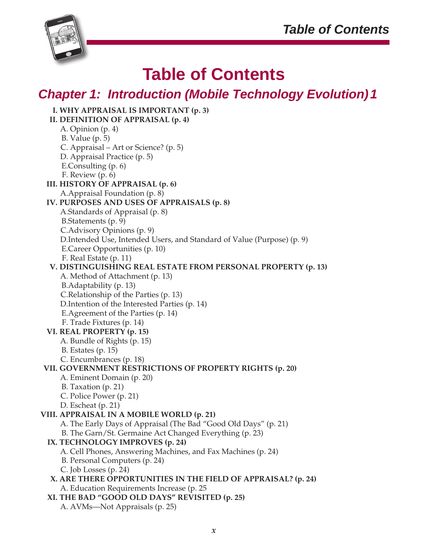

# **Table of Contents**

# *Chapter 1: Introduction (Mobile Technology Evolution)1*

| I. WHY APPRAISAL IS IMPORTANT (p. 3)                                    |
|-------------------------------------------------------------------------|
| II. DEFINITION OF APPRAISAL (p. 4)                                      |
| A. Opinion (p. 4)                                                       |
| B. Value $(p. 5)$                                                       |
| C. Appraisal - Art or Science? (p. 5)                                   |
| D. Appraisal Practice (p. 5)                                            |
| E.Consulting (p. 6)                                                     |
| F. Review (p. 6)                                                        |
| III. HISTORY OF APPRAISAL (p. 6)                                        |
| A. Appraisal Foundation (p. 8)                                          |
| IV. PURPOSES AND USES OF APPRAISALS (p. 8)                              |
| A.Standards of Appraisal (p. 8)                                         |
| B.Statements (p. 9)                                                     |
| C. Advisory Opinions (p. 9)                                             |
| D. Intended Use, Intended Users, and Standard of Value (Purpose) (p. 9) |
| E.Career Opportunities (p. 10)                                          |
| F. Real Estate (p. 11)                                                  |
| V. DISTINGUISHING REAL ESTATE FROM PERSONAL PROPERTY (p. 13)            |
| A. Method of Attachment (p. 13)                                         |
| B.Adaptability (p. 13)                                                  |
| C.Relationship of the Parties (p. 13)                                   |
| D. Intention of the Interested Parties (p. 14)                          |
| E.Agreement of the Parties (p. 14)                                      |
| F. Trade Fixtures (p. 14)                                               |
| VI. REAL PROPERTY (p. 15)                                               |
| A. Bundle of Rights (p. 15)                                             |
| $B.$ Estates $(p. 15)$                                                  |
| C. Encumbrances (p. 18)                                                 |
| VII. GOVERNMENT RESTRICTIONS OF PROPERTY RIGHTS (p. 20)                 |
| A. Eminent Domain (p. 20)                                               |
| B. Taxation (p. 21)                                                     |
| C. Police Power (p. 21)                                                 |
| D. Escheat $(p. 21)$                                                    |
| VIII. APPRAISAL IN A MOBILE WORLD (p. 21)                               |
| A. The Early Days of Appraisal (The Bad "Good Old Days" (p. 21)         |
| B. The Garn/St. Germaine Act Changed Everything (p. 23)                 |
| IX. TECHNOLOGY IMPROVES (p. 24)                                         |
| A. Cell Phones, Answering Machines, and Fax Machines (p. 24)            |
| B. Personal Computers (p. 24)                                           |
| C. Job Losses (p. 24)                                                   |
| X. ARE THERE OPPORTUNITIES IN THE FIELD OF APPRAISAL? (p. 24)           |
| A. Education Requirements Increase (p. 25                               |
| XI. THE BAD "GOOD OLD DAYS" REVISITED (p. 25)                           |
| A. AVMs—Not Appraisals (p. 25)                                          |
|                                                                         |
|                                                                         |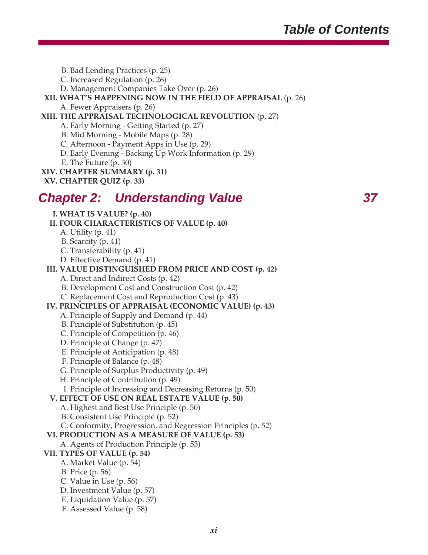B. Bad Lending Practices (p. 25)

C. Increased Regulation (p. 26)

D. Management Companies Take Over (p. 26)

### **XII. WHAT'S HAPPENING NOW IN THE FIELD OF APPRAISAL** (p. 26)

A. Fewer Appraisers (p. 26)

### **XIII. THE APPRAISAL TECHNOLOGICAL REVOLUTION** (p. 27)

- A. Early Morning Getting Started (p. 27)
- B. Mid Morning Mobile Maps (p. 28)
- C. Afternoon Payment Apps in Use (p. 29)
- D. Early Evening Backing Up Work Information (p. 29)
- E. The Future (p. 30)
- **XIV. CHAPTER SUMMARY (p. 31)**
- **XV. CHAPTER QUIZ (p. 33)**

## *Chapter 2: Understanding Value 37*

**I. WHAT IS VALUE? (p. 40)**

- **II. FOUR CHARACTERISTICS OF VALUE (p. 40)**
	- A. Utility (p. 41)
	- B. Scarcity (p. 41)
	- C. Transferability (p. 41)
	- D. Effective Demand (p. 41)

### **III. VALUE DISTINGUISHED FROM PRICE AND COST (p. 42)**

- A. Direct and Indirect Costs (p. 42)
- B. Development Cost and Construction Cost (p. 42)
- C. Replacement Cost and Reproduction Cost (p. 43)

### **IV. PRINCIPLES OF APPRAISAL (ECONOMIC VALUE) (p. 43)**

- A. Principle of Supply and Demand (p. 44)
- B. Principle of Substitution (p. 45)
- C. Principle of Competition (p. 46)
- D. Principle of Change (p. 47)
- E. Principle of Anticipation (p. 48)
- F. Principle of Balance (p. 48)
- G. Principle of Surplus Productivity (p. 49)
- H. Principle of Contribution (p. 49)
- I. Principle of Increasing and Decreasing Returns (p. 50)

### **V. EFFECT OF USE ON REAL ESTATE VALUE (p. 50)**

- A. Highest and Best Use Principle (p. 50)
- B. Consistent Use Principle (p. 52)
- C. Conformity, Progression, and Regression Principles (p. 52)

### **VI. PRODUCTION AS A MEASURE OF VALUE (p. 53)**

A. Agents of Production Principle (p. 53)

### **VII. TYPES OF VALUE (p. 54)**

- A. Market Value (p. 54)
- B. Price (p. 56)
- C. Value in Use (p. 56)
- D. Investment Value (p. 57)
- E. Liquidation Value (p. 57)
- F. Assessed Value (p. 58)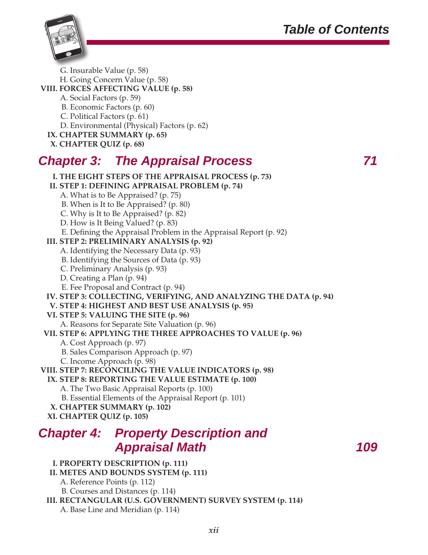# *Table of Contents*



G. Insurable Value (p. 58)

H. Going Concern Value (p. 58)

**VIII. FORCES AFFECTING VALUE (p. 58)**

A. Social Factors (p. 59)

B. Economic Factors (p. 60)

C. Political Factors (p. 61)

D. Environmental (Physical) Factors (p. 62)

**IX. CHAPTER SUMMARY (p. 65)**

**X. CHAPTER QUIZ (p. 68)**

# *Chapter 3: The Appraisal Process 71*

**I. THE EIGHT STEPS OF THE APPRAISAL PROCESS (p. 73) II. STEP 1: DEFINING APPRAISAL PROBLEM (p. 74)** A. What is to Be Appraised? (p. 75)

 B. When is It to Be Appraised? (p. 80) C. Why is It to Be Appraised? (p. 82)

D. How is It Being Valued? (p. 83)

E. Defining the Appraisal Problem in the Appraisal Report (p. 92)

**III. STEP 2: PRELIMINARY ANALYSIS (p. 92)**

- A. Identifying the Necessary Data (p. 93)
- B. Identifying the Sources of Data (p. 93)
- C. Preliminary Analysis (p. 93)
- D. Creating a Plan (p. 94)
- E. Fee Proposal and Contract (p. 94)

**IV. STEP 3: COLLECTING, VERIFYING, AND ANALYZING THE DATA (p. 94)**

**V. STEP 4: HIGHEST AND BEST USE ANALYSIS (p. 95)**

**VI. STEP 5: VALUING THE SITE (p. 96)**

A. Reasons for Separate Site Valuation (p. 96)

**VII. STEP 6: APPLYING THE THREE APPROACHES TO VALUE (p. 96)**

A. Cost Approach (p. 97)

B. Sales Comparison Approach (p. 97)

C. Income Approach (p. 98)

**VIII. STEP 7: RECONCILING THE VALUE INDICATORS (p. 98)**

**IX. STEP 8: REPORTING THE VALUE ESTIMATE (p. 100)**

A. The Two Basic Appraisal Reports (p. 100)

B. Essential Elements of the Appraisal Report (p. 101)

- **X. CHAPTER SUMMARY (p. 102)**
- **XI. CHAPTER QUIZ (p. 105)**

# *Chapter 4: Property Description and Appraisal Math 109*

### **I. PROPERTY DESCRIPTION (p. 111)**

**II. METES AND BOUNDS SYSTEM (p. 111)**

- A. Reference Points (p. 112)
- B. Courses and Distances (p. 114)

**III. RECTANGULAR (U.S. GOVERNMENT) SURVEY SYSTEM (p. 114)** A. Base Line and Meridian (p. 114)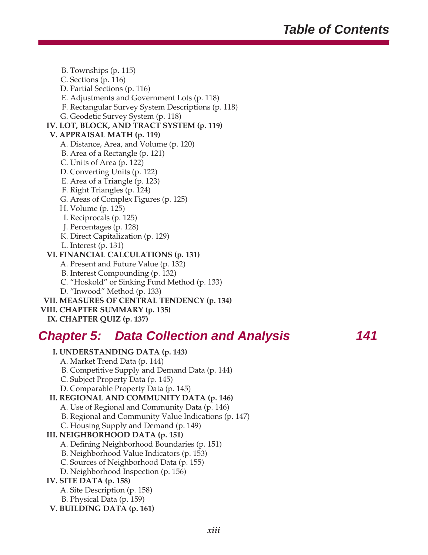B. Townships (p. 115) C. Sections (p. 116) D. Partial Sections (p. 116) E. Adjustments and Government Lots (p. 118) F. Rectangular Survey System Descriptions (p. 118) G. Geodetic Survey System (p. 118) **IV. LOT, BLOCK, AND TRACT SYSTEM (p. 119) V. APPRAISAL MATH (p. 119)** A. Distance, Area, and Volume (p. 120) B. Area of a Rectangle (p. 121) C. Units of Area (p. 122) D. Converting Units (p. 122) E. Area of a Triangle (p. 123) F. Right Triangles (p. 124) G. Areas of Complex Figures (p. 125) H. Volume (p. 125) I. Reciprocals (p. 125) J. Percentages (p. 128) K. Direct Capitalization (p. 129) L. Interest (p. 131) **VI. FINANCIAL CALCULATIONS (p. 131)** A. Present and Future Value (p. 132) B. Interest Compounding (p. 132) C. "Hoskold" or Sinking Fund Method (p. 133) D. "Inwood" Method (p. 133) **VII. MEASURES OF CENTRAL TENDENCY (p. 134) VIII. CHAPTER SUMMARY (p. 135)**

### **IX. CHAPTER QUIZ (p. 137)**

## *Chapter 5: Data Collection and Analysis 141*

### **I. UNDERSTANDING DATA (p. 143)**

A. Market Trend Data (p. 144)

- B. Competitive Supply and Demand Data (p. 144)
- C. Subject Property Data (p. 145)
- D. Comparable Property Data (p. 145)

### **II. REGIONAL AND COMMUNITY DATA (p. 146)**

- A. Use of Regional and Community Data (p. 146)
- B. Regional and Community Value Indications (p. 147)
- C. Housing Supply and Demand (p. 149)

### **III. NEIGHBORHOOD DATA (p. 151)**

- A. Defining Neighborhood Boundaries (p. 151)
- B. Neighborhood Value Indicators (p. 153)
- C. Sources of Neighborhood Data (p. 155)
- D. Neighborhood Inspection (p. 156)

### **IV. SITE DATA (p. 158)**

- A. Site Description (p. 158)
- B. Physical Data (p. 159)
- **V. BUILDING DATA (p. 161)**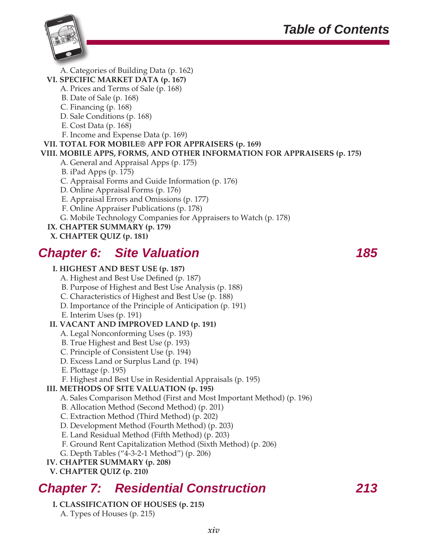

A. Categories of Building Data (p. 162)

### **VI. SPECIFIC MARKET DATA (p. 167)**

- A. Prices and Terms of Sale (p. 168)
- B. Date of Sale (p. 168)
- C. Financing (p. 168)
- D. Sale Conditions (p. 168)
- E. Cost Data (p. 168)
- F. Income and Expense Data (p. 169)

### **VII. TOTAL FOR MOBILE® APP FOR APPRAISERS (p. 169)**

### **VIII. MOBILE APPS, FORMS, AND OTHER INFORMATION FOR APPRAISERS (p. 175)**

- A. General and Appraisal Apps (p. 175)
- B. iPad Apps (p. 175)
- C. Appraisal Forms and Guide Information (p. 176)
- D. Online Appraisal Forms (p. 176)
- E. Appraisal Errors and Omissions (p. 177)
- F. Online Appraiser Publications (p. 178)
- G. Mobile Technology Companies for Appraisers to Watch (p. 178)
- **IX. CHAPTER SUMMARY (p. 179)**
- **X. CHAPTER QUIZ (p. 181)**

# *Chapter 6: Site Valuation 185*

### **I. HIGHEST AND BEST USE (p. 187)**

- A. Highest and Best Use Defined (p. 187)
- B. Purpose of Highest and Best Use Analysis (p. 188)
- C. Characteristics of Highest and Best Use (p. 188)
- D. Importance of the Principle of Anticipation (p. 191)
- E. Interim Uses (p. 191)

### **II. VACANT AND IMPROVED LAND (p. 191)**

- A. Legal Nonconforming Uses (p. 193)
- B. True Highest and Best Use (p. 193)
- C. Principle of Consistent Use (p. 194)
- D. Excess Land or Surplus Land (p. 194)
- E. Plottage (p. 195)
- F. Highest and Best Use in Residential Appraisals (p. 195)

### **III. METHODS OF SITE VALUATION (p. 195)**

- A. Sales Comparison Method (First and Most Important Method) (p. 196)
- B. Allocation Method (Second Method) (p. 201)
- C. Extraction Method (Third Method) (p. 202)
- D. Development Method (Fourth Method) (p. 203)
- E. Land Residual Method (Fifth Method) (p. 203)
- F. Ground Rent Capitalization Method (Sixth Method) (p. 206)
- G. Depth Tables ("4-3-2-1 Method") (p. 206)
- **IV. CHAPTER SUMMARY (p. 208)**
- **V. CHAPTER QUIZ (p. 210)**

# *Chapter 7: Residential Construction 213*

- **I. CLASSIFICATION OF HOUSES (p. 215)**
	- A. Types of Houses (p. 215)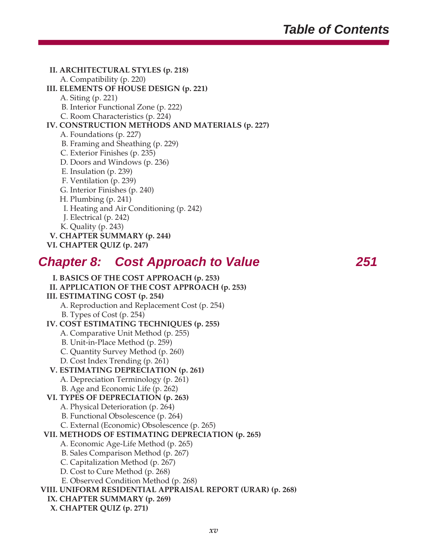### **II. ARCHITECTURAL STYLES (p. 218)** A. Compatibility (p. 220)

**III. ELEMENTS OF HOUSE DESIGN (p. 221)**

- A. Siting (p. 221)
- B. Interior Functional Zone (p. 222)
- C. Room Characteristics (p. 224)

### **IV. CONSTRUCTION METHODS AND MATERIALS (p. 227)**

- A. Foundations (p. 227)
- B. Framing and Sheathing (p. 229)
- C. Exterior Finishes (p. 235)
- D. Doors and Windows (p. 236)
- E. Insulation (p. 239)
- F. Ventilation (p. 239)
- G. Interior Finishes (p. 240)
- H. Plumbing (p. 241)
- I. Heating and Air Conditioning (p. 242)
- J. Electrical (p. 242)
- K. Quality (p. 243)
- **V. CHAPTER SUMMARY (p. 244)**
- **VI. CHAPTER QUIZ (p. 247)**

## *Chapter 8: Cost Approach to Value 251*

**I. BASICS OF THE COST APPROACH (p. 253) II. APPLICATION OF THE COST APPROACH (p. 253) III. ESTIMATING COST (p. 254)** A. Reproduction and Replacement Cost (p. 254) B. Types of Cost (p. 254) **IV. COST ESTIMATING TECHNIQUES (p. 255)** A. Comparative Unit Method (p. 255) B. Unit-in-Place Method (p. 259) C. Quantity Survey Method (p. 260) D. Cost Index Trending (p. 261) **V. ESTIMATING DEPRECIATION (p. 261)** A. Depreciation Terminology (p. 261) B. Age and Economic Life (p. 262) **VI. TYPES OF DEPRECIATION (p. 263)** A. Physical Deterioration (p. 264) B. Functional Obsolescence (p. 264) C. External (Economic) Obsolescence (p. 265) **VII. METHODS OF ESTIMATING DEPRECIATION (p. 265)** A. Economic Age-Life Method (p. 265) B. Sales Comparison Method (p. 267) C. Capitalization Method (p. 267) D. Cost to Cure Method (p. 268) E. Observed Condition Method (p. 268) **VIII. UNIFORM RESIDENTIAL APPRAISAL REPORT (URAR) (p. 268) IX. CHAPTER SUMMARY (p. 269) X. CHAPTER QUIZ (p. 271)**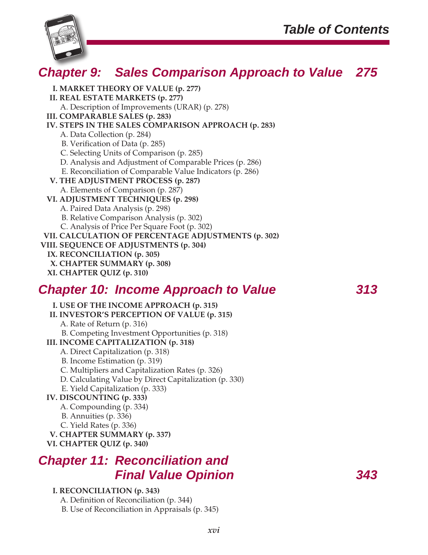

# *Chapter 9: Sales Comparison Approach to Value 275*

**I. MARKET THEORY OF VALUE (p. 277) II. REAL ESTATE MARKETS (p. 277)** A. Description of Improvements (URAR) (p. 278) **III. COMPARABLE SALES (p. 283) IV. STEPS IN THE SALES COMPARISON APPROACH (p. 283)** A. Data Collection (p. 284) B. Verification of Data (p. 285) C. Selecting Units of Comparison (p. 285) D. Analysis and Adjustment of Comparable Prices (p. 286) E. Reconciliation of Comparable Value Indicators (p. 286) **V. THE ADJUSTMENT PROCESS (p. 287)** A. Elements of Comparison (p. 287) **VI. ADJUSTMENT TECHNIQUES (p. 298)** A. Paired Data Analysis (p. 298) B. Relative Comparison Analysis (p. 302) C. Analysis of Price Per Square Foot (p. 302) **VII. CALCULATION OF PERCENTAGE ADJUSTMENTS (p. 302) VIII. SEQUENCE OF ADJUSTMENTS (p. 304) IX. RECONCILIATION (p. 305) X. CHAPTER SUMMARY (p. 308) XI. CHAPTER QUIZ (p. 310)**

## *Chapter 10: Income Approach to Value 313*

**I. USE OF THE INCOME APPROACH (p. 315) II. INVESTOR'S PERCEPTION OF VALUE (p. 315)** A. Rate of Return (p. 316) B. Competing Investment Opportunities (p. 318) **III. INCOME CAPITALIZATION (p. 318)** A. Direct Capitalization (p. 318) B. Income Estimation (p. 319) C. Multipliers and Capitalization Rates (p. 326) D. Calculating Value by Direct Capitalization (p. 330) E. Yield Capitalization (p. 333) **IV. DISCOUNTING (p. 333)** A. Compounding (p. 334) B. Annuities (p. 336) C. Yield Rates (p. 336) **V. CHAPTER SUMMARY (p. 337) VI. CHAPTER QUIZ (p. 340)**

## *Chapter 11: Reconciliation and Final Value Opinion 343*

### **I. RECONCILIATION (p. 343)**

A. Definition of Reconciliation (p. 344)

B. Use of Reconciliation in Appraisals (p. 345)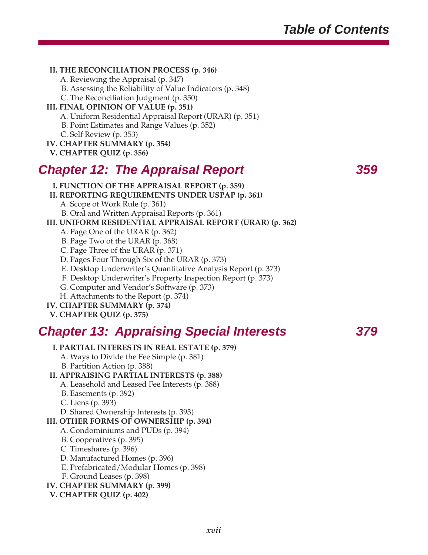### **II. THE RECONCILIATION PROCESS (p. 346)**

A. Reviewing the Appraisal (p. 347)

B. Assessing the Reliability of Value Indicators (p. 348)

C. The Reconciliation Judgment (p. 350)

### **III. FINAL OPINION OF VALUE (p. 351)**

A. Uniform Residential Appraisal Report (URAR) (p. 351)

B. Point Estimates and Range Values (p. 352)

C. Self Review (p. 353)

### **IV. CHAPTER SUMMARY (p. 354)**

**V. CHAPTER QUIZ (p. 356)**

# *Chapter 12: The Appraisal Report 359*

**I. FUNCTION OF THE APPRAISAL REPORT (p. 359)**

**II. REPORTING REQUIREMENTS UNDER USPAP (p. 361)**

A. Scope of Work Rule (p. 361)

B. Oral and Written Appraisal Reports (p. 361)

### **III. UNIFORM RESIDENTIAL APPRAISAL REPORT (URAR) (p. 362)**

- A. Page One of the URAR (p. 362)
- B. Page Two of the URAR (p. 368)
- C. Page Three of the URAR (p. 371)
- D. Pages Four Through Six of the URAR (p. 373)
- E. Desktop Underwriter's Quantitative Analysis Report (p. 373)
- F. Desktop Underwriter's Property Inspection Report (p. 373)

G. Computer and Vendor's Software (p. 373)

H. Attachments to the Report (p. 374)

**IV. CHAPTER SUMMARY (p. 374)**

**V. CHAPTER QUIZ (p. 375)**

# *Chapter 13: Appraising Special Interests 379*

### **I. PARTIAL INTERESTS IN REAL ESTATE (p. 379)**

A. Ways to Divide the Fee Simple (p. 381)

B. Partition Action (p. 388)

### **II. APPRAISING PARTIAL INTERESTS (p. 388)**

A. Leasehold and Leased Fee Interests (p. 388)

B. Easements (p. 392)

C. Liens (p. 393)

D. Shared Ownership Interests (p. 393)

### **III. OTHER FORMS OF OWNERSHIP (p. 394)**

- A. Condominiums and PUDs (p. 394)
- B. Cooperatives (p. 395)
- C. Timeshares (p. 396)
- D. Manufactured Homes (p. 396)
- E. Prefabricated/Modular Homes (p. 398)
- F. Ground Leases (p. 398)

### **IV. CHAPTER SUMMARY (p. 399)**

**V. CHAPTER QUIZ (p. 402)**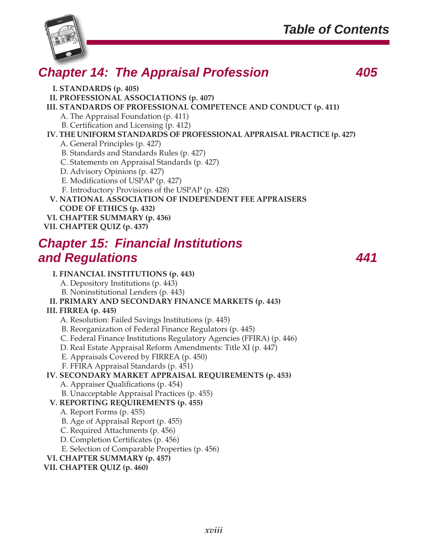

# *Chapter 14: The Appraisal Profession 405*

**I. STANDARDS (p. 405)**

**II. PROFESSIONAL ASSOCIATIONS (p. 407)**

**III. STANDARDS OF PROFESSIONAL COMPETENCE AND CONDUCT (p. 411)**

A. The Appraisal Foundation (p. 411)

B. Certification and Licensing (p. 412)

**IV. THE UNIFORM STANDARDS OF PROFESSIONAL APPRAISAL PRACTICE (p. 427)**

A. General Principles (p. 427)

B. Standards and Standards Rules (p. 427)

C. Statements on Appraisal Standards (p. 427)

D. Advisory Opinions (p. 427)

E. Modifications of USPAP (p. 427)

F. Introductory Provisions of the USPAP (p. 428)

**V. NATIONAL ASSOCIATION OF INDEPENDENT FEE APPRAISERS CODE OF ETHICS (p. 432) VI. CHAPTER SUMMARY (p. 436)**

**VII. CHAPTER QUIZ (p. 437)**

# *Chapter 15: Financial Institutions and Regulations 441*

### **I. FINANCIAL INSTITUTIONS (p. 443)**

A. Depository Institutions (p. 443)

B. Noninstitutional Lenders (p. 443)

### **II. PRIMARY AND SECONDARY FINANCE MARKETS (p. 443)**

### **III. FIRREA (p. 445)**

A. Resolution: Failed Savings Institutions (p. 445)

B. Reorganization of Federal Finance Regulators (p. 445)

C. Federal Finance Institutions Regulatory Agencies (FFIRA) (p. 446)

D. Real Estate Appraisal Reform Amendments: Title XI (p. 447)

E. Appraisals Covered by FIRREA (p. 450)

F. FFIRA Appraisal Standards (p. 451)

**IV. SECONDARY MARKET APPRAISAL REQUIREMENTS (p. 453)**

A. Appraiser Qualifications (p. 454)

B. Unacceptable Appraisal Practices (p. 455)

### **V. REPORTING REQUIREMENTS (p. 455)**

A. Report Forms (p. 455)

B. Age of Appraisal Report (p. 455)

C. Required Attachments (p. 456)

D. Completion Certificates (p. 456)

E. Selection of Comparable Properties (p. 456)

**VI. CHAPTER SUMMARY (p. 457)**

**VII. CHAPTER QUIZ (p. 460)**